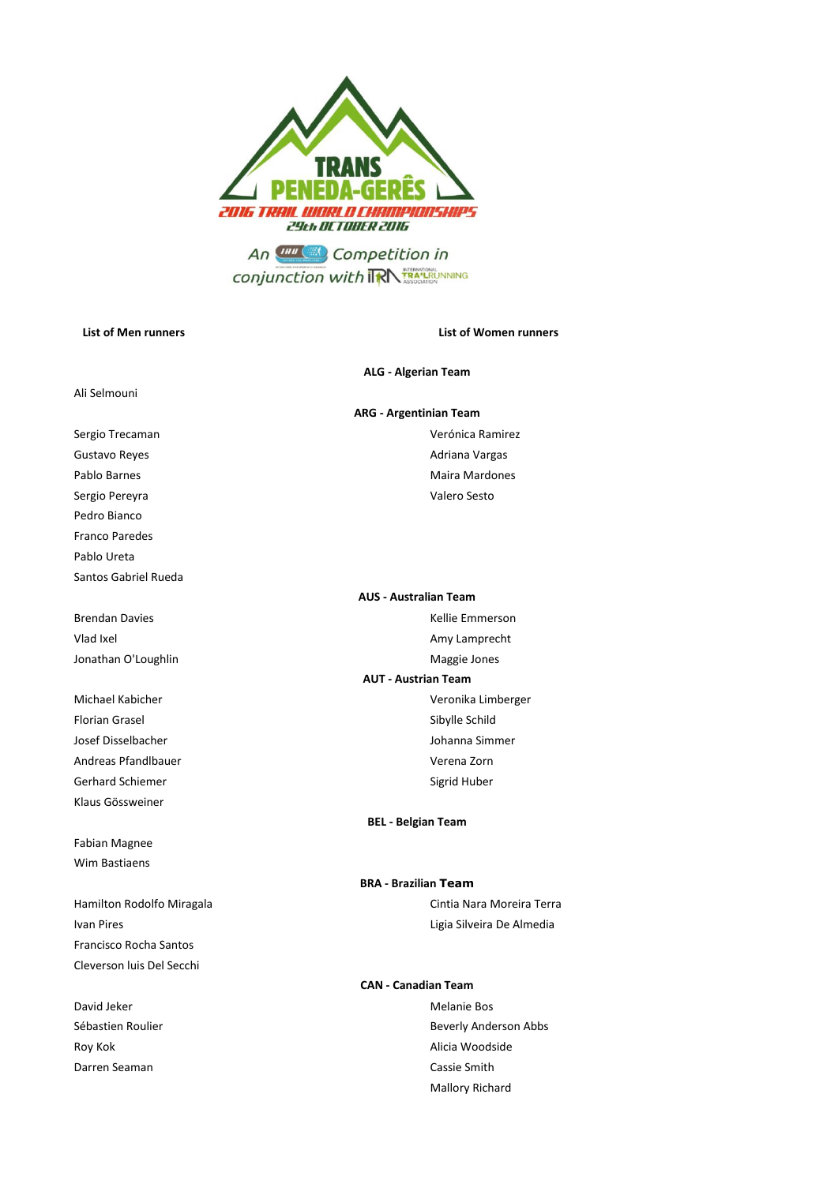

**conjunction with TRA TRANSICION NING** 

### **List of Men runners List of Women runners**

#### **ALG - Algerian Team**

#### **ARG - Argentinian Team**

Sergio Trecaman Verónica Ramirez Pablo Barnes **Maira Mardones** Maira Mardones

# **AUS - Australian Team**

# **AUT - Austrian Team**

## **BEL - Belgian Team**

# Hamilton Rodolfo Miragala **Cintia Nara Moreira Terra** Cintia Nara Moreira Terra **BRA - Brazilian Team**

### **CAN - Canadian Team**

Sébastien Roulier **Beverly Anderson Abbs** Beverly Anderson Abbs Mallory Richard

Gustavo Reyes **Adriana Vargas Adriana Vargas** Adriana Vargas Sergio Pereyra Valero Sesto Pedro Bianco

Ali Selmouni

Pablo Ureta Santos Gabriel Rueda

Franco Paredes

Brendan Davies **Kellie Emmerson** Vlad Ixel **Amy Lamprecht** Class Control and Table 2011 and Table 2012 and Table 2012 and Table 2013 Jonathan O'Loughlin Maggie Jones

Michael Kabicher Veronika Limberger Florian Grasel Sibylle Schild Josef Disselbacher Johanna Simmer Andreas Pfandlbauer **Verena Zorn** Verena Zorn Gerhard Schiemer Sigrid Huber Klaus Gössweiner

Fabian Magnee Wim Bastiaens

Ivan Pires **Ligia Silveira De Almedia** Francisco Rocha Santos Cleverson luis Del Secchi

David Jeker Melanie Bos Roy Kok **Alicia Woodside** Darren Seaman Cassie Smith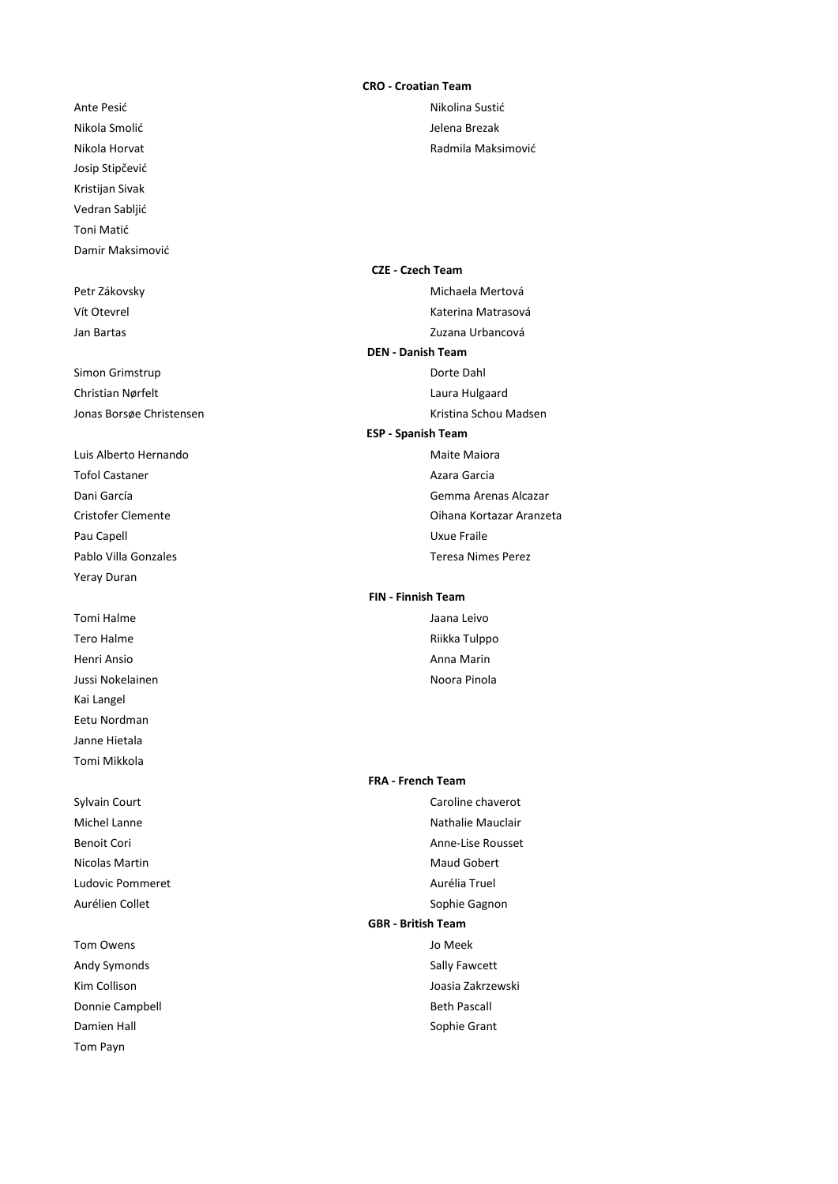Nikola Smolić **Verbanding in Strategier School Smoli**d Jelena Brezak Josip Stipčević Kristijan Sivak Vedran Sabljić Toni Matić Damir Maksimović

Simon Grimstrup **Dorte Dahl** Christian Nørfelt **Laura Hulgaard** Laura Hulgaard Jonas Borsøe Christensen Kristina Schou Madsen Kristina Schou Madsen

Luis Alberto Hernando **Maiora** Maiora Tofol Castaner **Azara Garcia Azara Garcia** Pau Capell **Value France** Pau Capell **Value France** Pau Capell **Uxue Fraile** Pablo Villa Gonzales Teresa Nimes Perez Yeray Duran

Tomi Halme Jaana Leivo Tero Halme **Riikka Tulppo** Henri Ansio Anna Marin Jussi Nokelainen Noora Pinola Kai Langel Eetu Nordman Janne Hietala Tomi Mikkola

Ludovic Pommeret **Aurélia Truel** 

Tom Payn

#### **CRO - Croatian Team**

Ante Pesić Nikolina Sustić Nikolina Sustić Nikola Horvat **Nikola Horvat** Radmila Maksimović

Petr Zákovsky **Michaela Mertová** Vít Otevrel **Katerina Matrasová** Katerina Matrasová Jan Bartas Zuzana Urbancová **CZE - Czech Team DEN - Danish Team**

**ESP - Spanish Team**

Dani García Gemma Arenas Alcazar Cristofer Clemente Oihana Kortazar Aranzeta

# **FIN - Finnish Team**

#### **FRA - French Team**

Sylvain Court **Caroline** Caroline chaverot Michel Lanne Nathalie Mauclair Benoit Cori anno 1992 - September 2008 - Anne-Lise Rousset Nicolas Martin **Maud Gobert** Maud Gobert Aurélien Collet **Sophie Gagnon** Tom Owens Jo Meek Andy Symonds **Sally Fawcett** Kim Collison **Joasia Zakrzewski** Donnie Campbell **Beth Pascall** Beth Pascall Damien Hall Sophie Grant **GBR - British Team**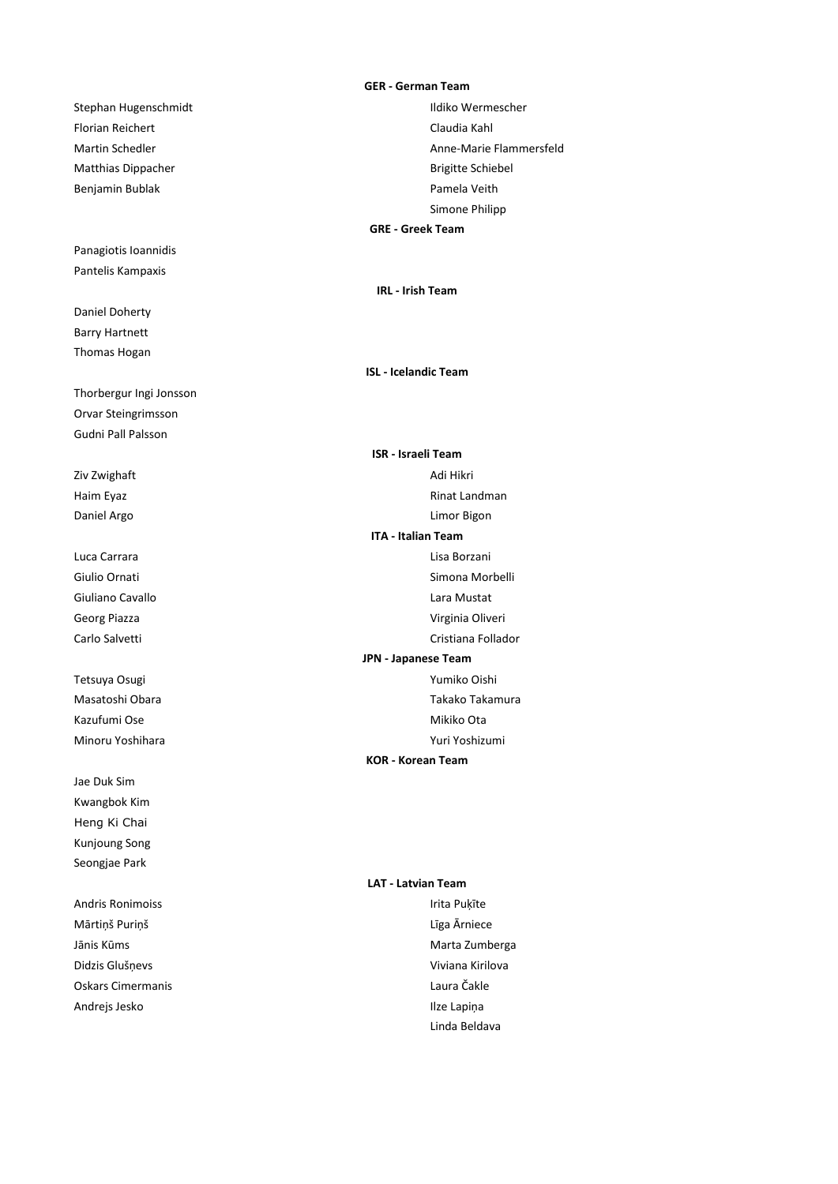Stephan Hugenschmidt and a stephan Hugenschmidt and a stephan Hugenscher Florian Reichert **Claudia Kahl** Matthias Dippacher **Brigitte Schiebel** Brigitte Schiebel Benjamin Bublak **Pamela Veith** 

Panagiotis Ioannidis Pantelis Kampaxis

Daniel Doherty Barry Hartnett Thomas Hogan

Thorbergur Ingi Jonsson Orvar Steingrimsson Gudni Pall Palsson

Jae Duk Sim Kwangbok Kim Heng Ki Chai Kunjoung Song Seongjae Park

Andris Ronimoiss **International Community** Public Puķīte Mārtiņš Puriņš Līga Ārniece Jānis Kūms **Marta Zumberga** Didzis Glušņevs Viviana Kirilova Oskars Cimermanis Laura Čakle Andrejs Jesko **Ilze Lapiņa** 

#### **GER - German Team**

Martin Schedler **Anne-Marie Flammersfeld** Simone Philipp **GRE - Greek Team**

**IRL - Irish Team**

**ISL - Icelandic Team**

Ziv Zwighaft **Adi Hikri** Haim Eyaz **Rinat Landman** Daniel Argo **Limor Bigon** Luca Carrara Lisa Borzani Giulio Ornati alla suomen valtaa valtaa valtaa valtaa valtaa valtaa valtaa valtaa valtaa valtaa valtaa valtaa v Giuliano Cavallo **Cavallo** Lara Mustat Georg Piazza **Virginia Oliveri** Carlo Salvetti **Carlo Salvetti** Carlo Salvetti anno 1992 a Cristiana Follador Tetsuya Osugi Yumiko Oishi Masatoshi Obara Nasari (2002) a Takako Takamura Kazufumi Ose Mikiko Ota Minoru Yoshihara Xuri Yoshizumi **ISR - Israeli Team ITA - Italian Team JPN - Japanese Team KOR - Korean Team**

### **LAT - Latvian Team**

Linda Beldava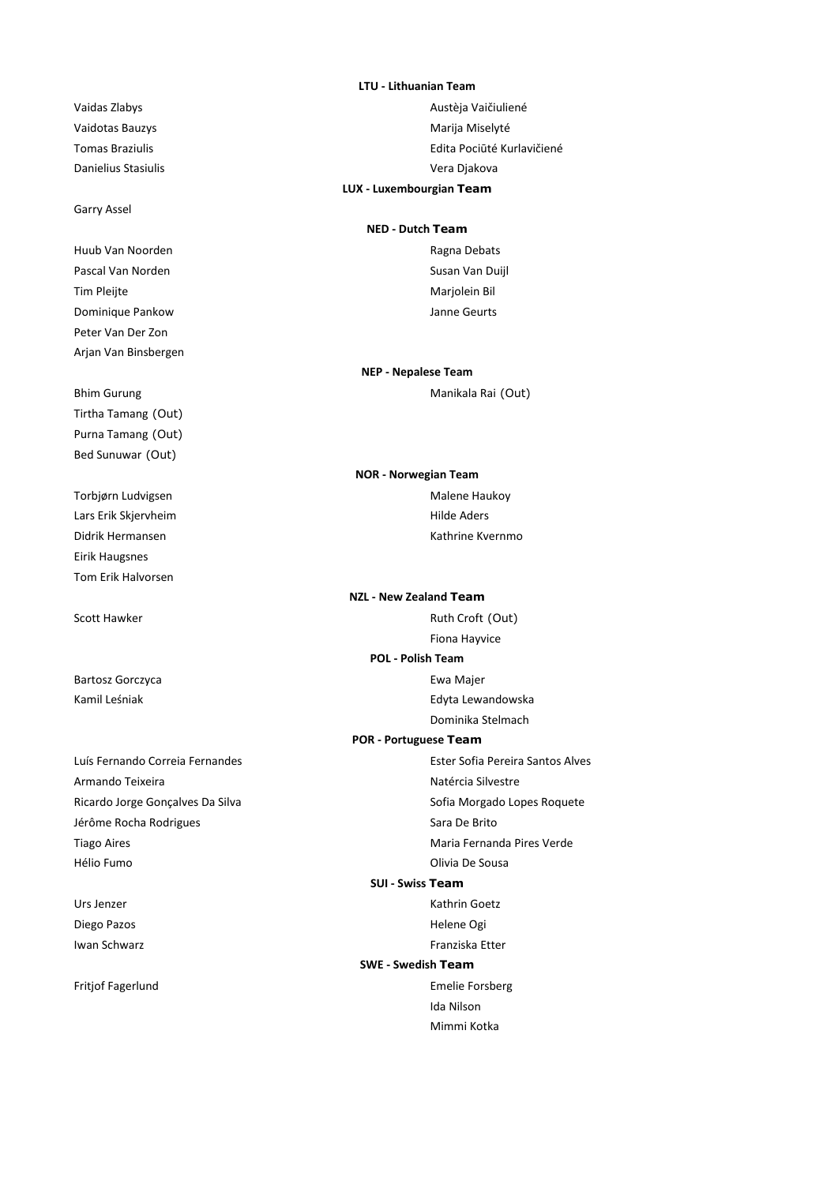# Garry Assel

Huub Van Noorden aan die eerste kan die kan die kan die kan die kan die kan die kan die kan die kan die kan di<br>Gebeure Pascal Van Norden Susan Van Duijl Tim Pleijte Marjolein Bil Dominique Pankow Janne Geurts Peter Van Der Zon Arjan Van Binsbergen

Tirtha Tamang (Out) Purna Tamang (Out) Bed Sunuwar (Out)

Lars Erik Skjervheim et al. et al. et al. et al. et al. et al. et al. et al. et al. et al. et al. et al. et al Eirik Haugsnes Tom Erik Halvorsen

Armando Teixeira Natércia Silvestre Ricardo Jorge Gonçalves Da Silva Sofia Morgado Lopes Roquete Jérôme Rocha Rodrigues **Sara De Brito** Sara De Brito Tiago Aires **Maria Fernanda Pires Verde** Hélio Fumo Olivia De Sousa

Diego Pazos **Helene** Ogi

#### **LTU - Lithuanian Team**

Vaidas Zlabys **Austèja Vaičiuliené** Vaidotas Bauzys **Marija Miselyté** Marija Miselyté Tomas Braziulis Edita Pociūté Kurlavičiené Danielius Stasiulis Vera Djakova **LUX - Luxembourgian Team**

# **NED - Dutch Team**

Bhim Gurung **Manikala Rai** (Out) **NEP - Nepalese Team**

Torbjørn Ludvigsen Malene Haukoy Didrik Hermansen Kathrine Kvernmo **NOR - Norwegian Team**

Scott Hawker Ruth Croft (Out) Fiona Hayvice Bartosz Gorczyca **Ewa Majer** Ewa Majer Kamil Leśniak **Edyta Lewandowska** Dominika Stelmach Luís Fernando Correia Fernandes **Ester Sofia Pereira Santos Alves** Ester Sofia Pereira Santos Alves **POR - Portuguese Team POL - Polish Team NZL - New Zealand Team**

### **SUI - Swiss Team**

Urs Jenzer Kathrin Goetz Iwan Schwarz **Immediately** Franziska Etter

# **SWE - Swedish Team**

Fritjof Fagerlund **Emelie Forsberg** Emelie Forsberg Ida Nilson Mimmi Kotka